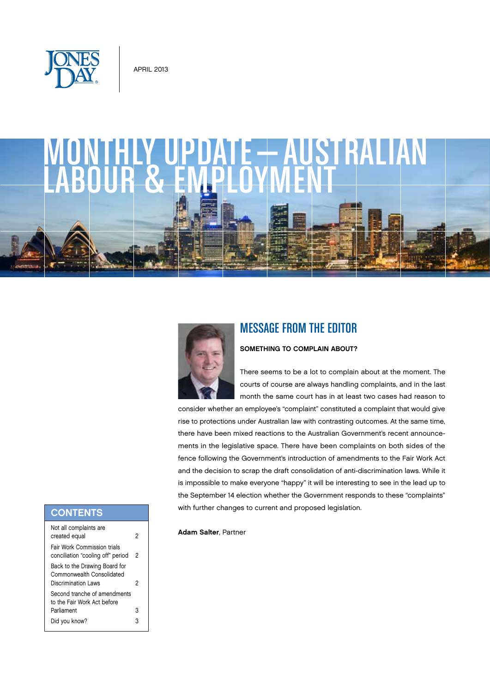

# monthly update—australian LABOUR & EMPLOYMENT



### Message from the Editor

#### SOMETHING TO COMPLAIN ABOUT?

There seems to be a lot to complain about at the moment. The courts of course are always handling complaints, and in the last month the same court has in at least two cases had reason to

consider whether an employee's "complaint" constituted a complaint that would give rise to protections under Australian law with contrasting outcomes. At the same time, there have been mixed reactions to the Australian Government's recent announcements in the legislative space. There have been complaints on both sides of the fence following the Government's introduction of amendments to the Fair Work Act and the decision to scrap the draft consolidation of anti-discrimination laws. While it is impossible to make everyone "happy" it will be interesting to see in the lead up to the September 14 election whether the Government responds to these "complaints" with further changes to current and proposed legislation.

#### Adam Salter, Partner

## **CONTENTS**

| Not all complaints are<br>created equal                                            | 2 |
|------------------------------------------------------------------------------------|---|
| Fair Work Commission trials<br>conciliation "cooling off" period                   | 2 |
| Back to the Drawing Board for<br>Commonwealth Consolidated<br>Discrimination I aws | 2 |
| Second tranche of amendments<br>to the Fair Work Act before                        |   |
| Parliament                                                                         | 3 |
| Did you know?                                                                      |   |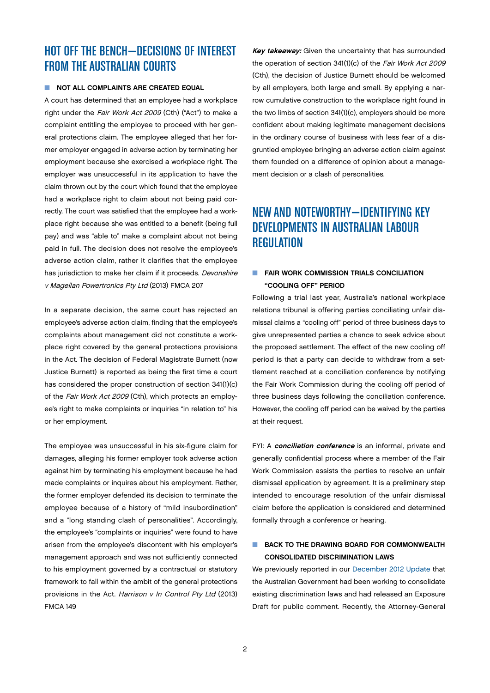## <span id="page-1-0"></span>Hot off the bench—Decisions of Interest from the Australian Courts

#### $\blacksquare$  NOT ALL COMPLAINTS ARE CREATED EQUAL

A court has determined that an employee had a workplace right under the Fair Work Act 2009 (Cth) ("Act") to make a complaint entitling the employee to proceed with her general protections claim. The employee alleged that her former employer engaged in adverse action by terminating her employment because she exercised a workplace right. The employer was unsuccessful in its application to have the claim thrown out by the court which found that the employee had a workplace right to claim about not being paid correctly. The court was satisfied that the employee had a workplace right because she was entitled to a benefit (being full pay) and was "able to" make a complaint about not being paid in full. The decision does not resolve the employee's adverse action claim, rather it clarifies that the employee has jurisdiction to make her claim if it proceeds. Devonshire v Magellan Powertronics Pty Ltd (2013) FMCA 207

In a separate decision, the same court has rejected an employee's adverse action claim, finding that the employee's complaints about management did not constitute a workplace right covered by the general protections provisions in the Act. The decision of Federal Magistrate Burnett (now Justice Burnett) is reported as being the first time a court has considered the proper construction of section 341(1)(c) of the Fair Work Act 2009 (Cth), which protects an employee's right to make complaints or inquiries "in relation to" his or her employment.

The employee was unsuccessful in his six-figure claim for damages, alleging his former employer took adverse action against him by terminating his employment because he had made complaints or inquires about his employment. Rather, the former employer defended its decision to terminate the employee because of a history of "mild insubordination" and a "long standing clash of personalities". Accordingly, the employee's "complaints or inquiries" were found to have arisen from the employee's discontent with his employer's management approach and was not sufficiently connected to his employment governed by a contractual or statutory framework to fall within the ambit of the general protections provisions in the Act. Harrison v In Control Pty Ltd (2013) FMCA 149

Key takeaway: Given the uncertainty that has surrounded the operation of section 341(1)(c) of the Fair Work Act 2009 (Cth), the decision of Justice Burnett should be welcomed by all employers, both large and small. By applying a narrow cumulative construction to the workplace right found in the two limbs of section 341(1)(c), employers should be more confident about making legitimate management decisions in the ordinary course of business with less fear of a disgruntled employee bringing an adverse action claim against them founded on a difference of opinion about a management decision or a clash of personalities.

# New and noteworthy—Identifying Key Developments in Australian Labour **REGULATION**

#### $\blacksquare$  FAIR WORK COMMISSION TRIALS CONCILIATION "cooling off" period

Following a trial last year, Australia's national workplace relations tribunal is offering parties conciliating unfair dismissal claims a "cooling off" period of three business days to give unrepresented parties a chance to seek advice about the proposed settlement. The effect of the new cooling off period is that a party can decide to withdraw from a settlement reached at a conciliation conference by notifying the Fair Work Commission during the cooling off period of three business days following the conciliation conference. However, the cooling off period can be waived by the parties at their request.

FYI: A conciliation conference is an informal, private and generally confidential process where a member of the Fair Work Commission assists the parties to resolve an unfair dismissal application by agreement. It is a preliminary step intended to encourage resolution of the unfair dismissal claim before the application is considered and determined formally through a conference or hearing.

#### $\blacksquare$  BACK TO THE DRAWING BOARD FOR COMMONWEALTH Consolidated Discrimination Laws

We previously reported in our December 2012 Update that the Australian Government had been working to consolidate existing discrimination laws and had released an Exposure Draft for public comment. Recently, the Attorney-General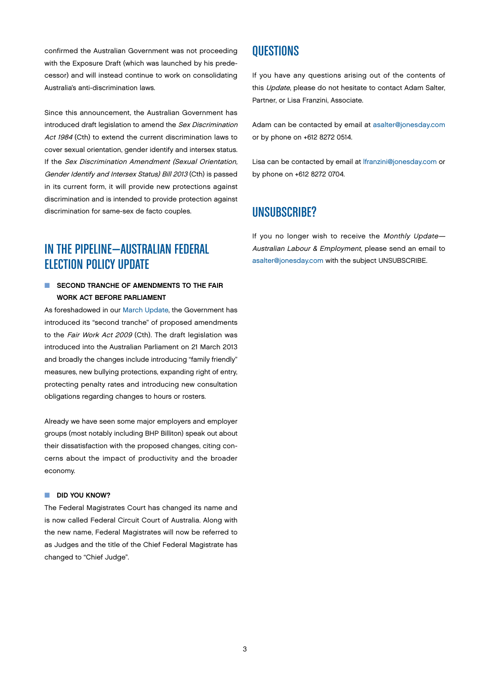<span id="page-2-0"></span>confirmed the Australian Government was not proceeding with the Exposure Draft (which was launched by his predecessor) and will instead continue to work on consolidating Australia's anti-discrimination laws.

Since this announcement, the Australian Government has introduced draft legislation to amend the Sex Discrimination Act 1984 (Cth) to extend the current discrimination laws to cover sexual orientation, gender identify and intersex status. If the Sex Discrimination Amendment (Sexual Orientation, Gender Identify and Intersex Status) Bill 2013 (Cth) is passed in its current form, it will provide new protections against discrimination and is intended to provide protection against discrimination for same-sex de facto couples.

# IN THE PIPELINE—AUSTRALIAN FEDERAL **ELECTION POLICY UPDATE**

#### $\blacksquare$  SECOND TRANCHE OF AMENDMENTS TO THE FAIR Work Act before Parliament

As foreshadowed in our March Update, the Government has introduced its "second tranche" of proposed amendments to the Fair Work Act 2009 (Cth). The draft legislation was introduced into the Australian Parliament on 21 March 2013 and broadly the changes include introducing "family friendly" measures, new bullying protections, expanding right of entry, protecting penalty rates and introducing new consultation obligations regarding changes to hours or rosters.

Already we have seen some major employers and employer groups (most notably including BHP Billiton) speak out about their dissatisfaction with the proposed changes, citing concerns about the impact of productivity and the broader economy.

#### DID YOU KNOW?

The Federal Magistrates Court has changed its name and is now called Federal Circuit Court of Australia. Along with the new name, Federal Magistrates will now be referred to as Judges and the title of the Chief Federal Magistrate has changed to "Chief Judge".

## **OUESTIONS**

If you have any questions arising out of the contents of this Update, please do not hesitate to contact Adam Salter. Partner, or Lisa Franzini, Associate.

Adam can be contacted by email at [asalter@jonesday.com](mailto:asalter%40jonesday.com?subject=Monthly%20Update%20-%20Australian%20Labour%20%26%20Employment%20Question) or by phone on +612 8272 0514.

Lisa can be contacted by email at [lfranzini@jonesday.com](mailto:lfranzini%40jonesday.com?subject=Monthly%20Update%20-%20Australian%20Labour%20%26%20Employment%20Question) or by phone on +612 8272 0704.

## UNSUBSCRIBE?

If you no longer wish to receive the Monthly Update-Australian Labour & Employment, please send an email to [asalter@jonesday.com](mailto:asalter%40jonesday.com?subject=Unsubscribe) with the subject UNSUBSCRIBE.